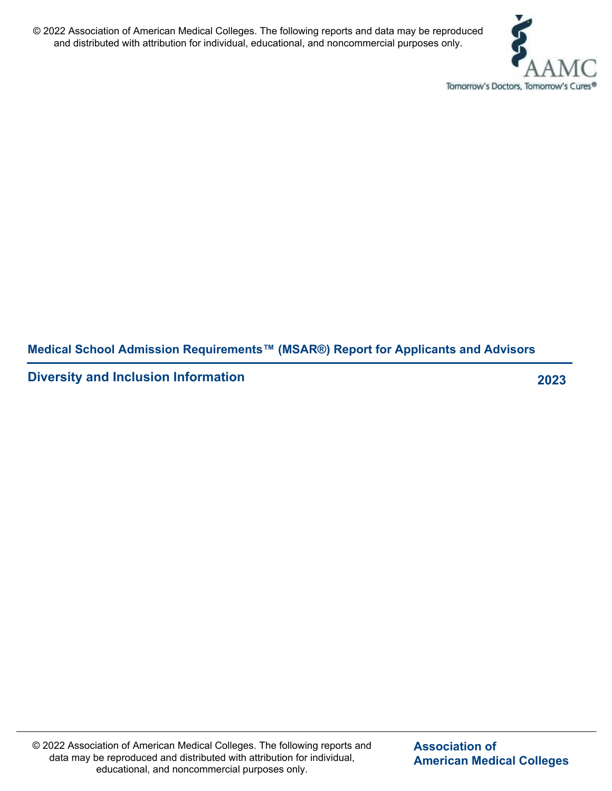

**Medical School Admission Requirements™ (MSAR®) Report for Applicants and Advisors**

**Diversity and Inclusion Information 2023**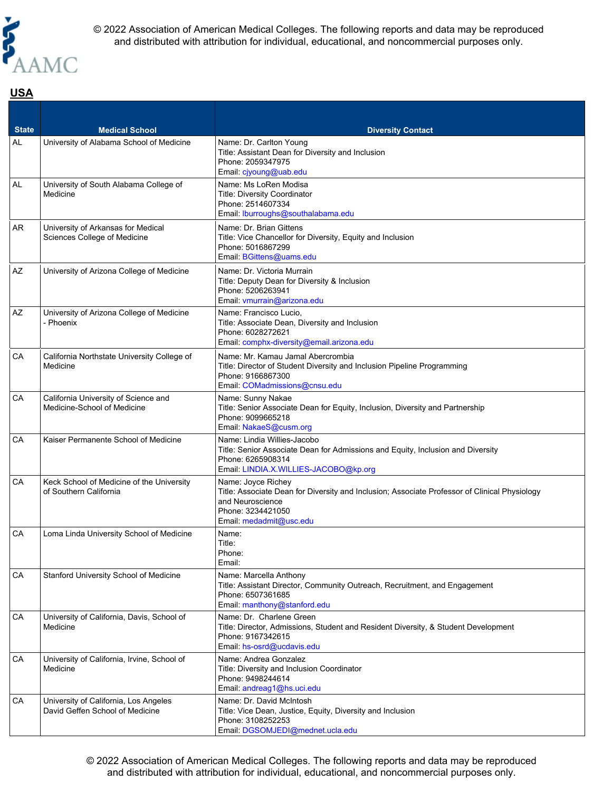

# **USA**

| <b>State</b><br><b>AL</b> | <b>Medical School</b><br>University of Alabama School of Medicine        | <b>Diversity Contact</b><br>Name: Dr. Carlton Young<br>Title: Assistant Dean for Diversity and Inclusion<br>Phone: 2059347975<br>Email: cjyoung@uab.edu                                 |
|---------------------------|--------------------------------------------------------------------------|-----------------------------------------------------------------------------------------------------------------------------------------------------------------------------------------|
| AL                        | University of South Alabama College of<br>Medicine                       | Name: Ms LoRen Modisa<br><b>Title: Diversity Coordinator</b><br>Phone: 2514607334<br>Email: Iburroughs@southalabama.edu                                                                 |
| AR                        | University of Arkansas for Medical<br>Sciences College of Medicine       | Name: Dr. Brian Gittens<br>Title: Vice Chancellor for Diversity, Equity and Inclusion<br>Phone: 5016867299<br>Email: BGittens@uams.edu                                                  |
| AZ                        | University of Arizona College of Medicine                                | Name: Dr. Victoria Murrain<br>Title: Deputy Dean for Diversity & Inclusion<br>Phone: 5206263941<br>Email: vmurrain@arizona.edu                                                          |
| AZ                        | University of Arizona College of Medicine<br>- Phoenix                   | Name: Francisco Lucio,<br>Title: Associate Dean, Diversity and Inclusion<br>Phone: 6028272621<br>Email: comphx-diversity@email.arizona.edu                                              |
| СA                        | California Northstate University College of<br>Medicine                  | Name: Mr. Kamau Jamal Abercrombia<br>Title: Director of Student Diversity and Inclusion Pipeline Programming<br>Phone: 9166867300<br>Email: COMadmissions@cnsu.edu                      |
| СA                        | California University of Science and<br>Medicine-School of Medicine      | Name: Sunny Nakae<br>Title: Senior Associate Dean for Equity, Inclusion, Diversity and Partnership<br>Phone: 9099665218<br>Email: NakaeS@cusm.org                                       |
| CA                        | Kaiser Permanente School of Medicine                                     | Name: Lindia Willies-Jacobo<br>Title: Senior Associate Dean for Admissions and Equity, Inclusion and Diversity<br>Phone: 6265908314<br>Email: LINDIA.X.WILLIES-JACOBO@kp.org            |
| СA                        | Keck School of Medicine of the University<br>of Southern California      | Name: Joyce Richey<br>Title: Associate Dean for Diversity and Inclusion; Associate Professor of Clinical Physiology<br>and Neuroscience<br>Phone: 3234421050<br>Email: medadmit@usc.edu |
| СA                        | Loma Linda University School of Medicine                                 | Name:<br>Title:<br>Phone:<br>Email:                                                                                                                                                     |
| СA                        | Stanford University School of Medicine                                   | Name: Marcella Anthony<br>Title: Assistant Director, Community Outreach, Recruitment, and Engagement<br>Phone: 6507361685<br>Email: manthony@stanford.edu                               |
| СA                        | University of California, Davis, School of<br>Medicine                   | Name: Dr. Charlene Green<br>Title: Director, Admissions, Student and Resident Diversity, & Student Development<br>Phone: 9167342615<br>Email: hs-osrd@ucdavis.edu                       |
| СA                        | University of California, Irvine, School of<br>Medicine                  | Name: Andrea Gonzalez<br>Title: Diversity and Inclusion Coordinator<br>Phone: 9498244614<br>Email: andreag1@hs.uci.edu                                                                  |
| СA                        | University of California, Los Angeles<br>David Geffen School of Medicine | Name: Dr. David McIntosh<br>Title: Vice Dean, Justice, Equity, Diversity and Inclusion<br>Phone: 3108252253<br>Email: DGSOMJEDI@mednet.ucla.edu                                         |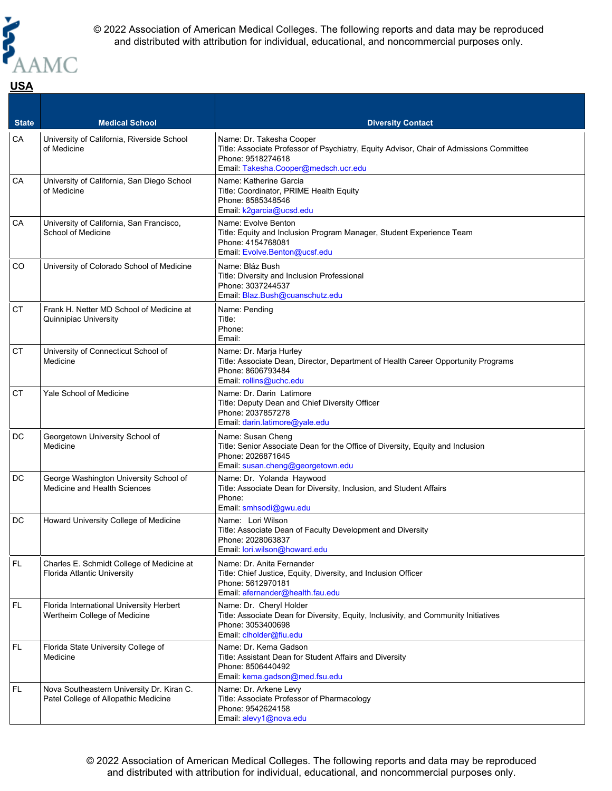

#### **State Medical School <b>Medical School Diversity Contact** CA University of California, Riverside School of Medicine Name: Dr. Takesha Cooper Title: Associate Professor of Psychiatry, Equity Advisor, Chair of Admissions Committee Phone: 9518274618 Email: [Takesha.Cooper@medsch.ucr.edu](mailto:Takesha.Cooper@medsch.ucr.edu) CA University of California, San Diego School of Medicine Name: Katherine Garcia Title: Coordinator, PRIME Health Equity Phone: 8585348546 Email: [k2garcia@ucsd.edu](mailto:k2garcia@ucsd.edu) CA University of California, San Francisco, School of Medicine Name: Evolve Benton Title: Equity and Inclusion Program Manager, Student Experience Team Phone: 4154768081 Email: [Evolve.Benton@ucsf.edu](mailto:Evolve.Benton@ucsf.edu) CO | University of Colorado School of Medicine | Name: Bláz Bush Title: Diversity and Inclusion Professional Phone: 3037244537 Email: [Blaz.Bush@cuanschutz.edu](mailto:Blaz.Bush@cuanschutz.edu) CT Frank H. Netter MD School of Medicine at Quinnipiac University Name: Pending Title: Phone: Email: CT University of Connecticut School of **Medicine** Name: Dr. Marja Hurley Title: Associate Dean, Director, Department of Health Career Opportunity Programs Phone: 8606793484 Email: [rollins@uchc.edu](mailto:rollins@uchc.edu) CT Yale School of Medicine Name: Dr. Darin Latimore Title: Deputy Dean and Chief Diversity Officer Phone: 2037857278 Email: [darin.latimore@yale.edu](mailto:darin.latimore@yale.edu) DC | Georgetown University School of Medicine Name: Susan Cheng Title: Senior Associate Dean for the Office of Diversity, Equity and Inclusion Phone: 2026871645 Email: [susan.cheng@georgetown.edu](mailto:susan.cheng@georgetown.edu) DC George Washington University School of Medicine and Health Sciences Name: Dr. Yolanda Haywood Title: Associate Dean for Diversity, Inclusion, and Student Affairs Phone: Email: [smhsodi@gwu.edu](mailto:smhsodi@gwu.edu) DC Howard University College of Medicine Name: Lori Wilson Title: Associate Dean of Faculty Development and Diversity Phone: 2028063837 Email: [lori.wilson@howard.edu](mailto:lori.wilson@howard.edu) FL Charles E. Schmidt College of Medicine at Florida Atlantic University Name: Dr. Anita Fernander Title: Chief Justice, Equity, Diversity, and Inclusion Officer Phone: 5612970181 Email: [afernander@health.fau.edu](mailto:afernander@health.fau.edu) FL Florida International University Herbert Wertheim College of Medicine Name: Dr. Cheryl Holder Title: Associate Dean for Diversity, Equity, Inclusivity, and Community Initiatives Phone: 3053400698 Email: [clholder@fiu.edu](mailto:clholder@fiu.edu) FL Florida State University College of **Medicine** Name: Dr. Kema Gadson Title: Assistant Dean for Student Affairs and Diversity Phone: 8506440492 Email: [kema.gadson@med.fsu.edu](mailto:kema.gadson@med.fsu.edu) FL Nova Southeastern University Dr. Kiran C. Patel College of Allopathic Medicine Name: Dr. Arkene Levy Title: Associate Professor of Pharmacology Phone: 9542624158 Email: [alevy1@nova.edu](mailto:alevy1@nova.edu)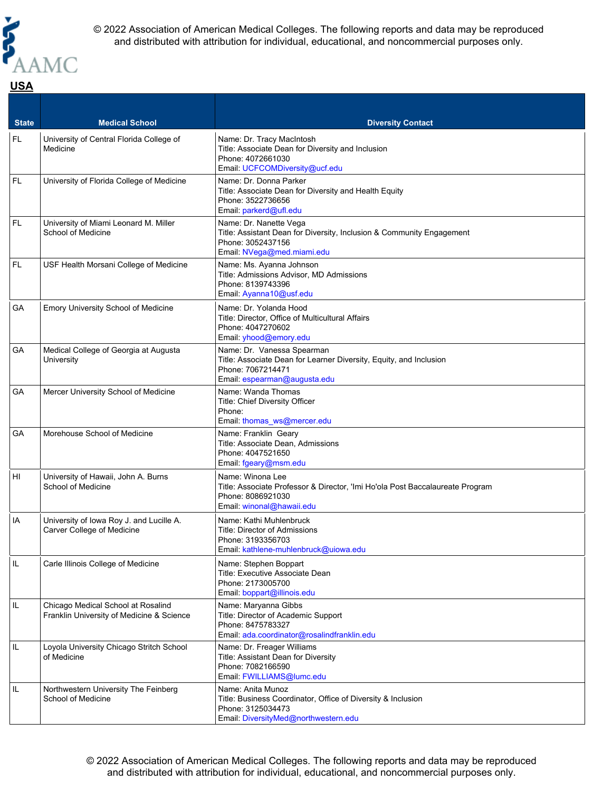

### **State Medical School <b>Medical School Diversity Contact** FL University of Central Florida College of Medicine Name: Dr. Tracy MacIntosh Title: Associate Dean for Diversity and Inclusion Phone: 4072661030 Email: [UCFCOMDiversity@ucf.edu](mailto:UCFCOMDiversity@ucf.edu) FL | University of Florida College of Medicine | Name: Dr. Donna Parker Title: Associate Dean for Diversity and Health Equity Phone: 3522736656 Email: [parkerd@ufl.edu](mailto:parkerd@ufl.edu) FL University of Miami Leonard M. Miller School of Medicine Name: Dr. Nanette Vega Title: Assistant Dean for Diversity, Inclusion & Community Engagement Phone: 3052437156 Email: [NVega@med.miami.edu](mailto:NVega@med.miami.edu) FL USF Health Morsani College of Medicine Name: Ms. Ayanna Johnson Title: Admissions Advisor, MD Admissions Phone: 8139743396 Email: [Ayanna10@usf.edu](mailto:Ayanna10@usf.edu) GA Emory University School of Medicine | Name: Dr. Yolanda Hood Title: Director, Office of Multicultural Affairs Phone: 4047270602 Email: [yhood@emory.edu](mailto:yhood@emory.edu) GA Medical College of Georgia at Augusta **University** Name: Dr. Vanessa Spearman Title: Associate Dean for Learner Diversity, Equity, and Inclusion Phone: 7067214471 Email: [espearman@augusta.edu](mailto:espearman@augusta.edu) GA | Mercer University School of Medicine | Name: Wanda Thomas Title: Chief Diversity Officer Phone: Email: [thomas\\_ws@mercer.edu](mailto:thomas_ws@mercer.edu) GA | Morehouse School of Medicine | Name: Franklin Geary Title: Associate Dean, Admissions Phone: 4047521650 Email: [fgeary@msm.edu](mailto:fgeary@msm.edu) HI | University of Hawaii, John A. Burns School of Medicine Name: Winona Lee Title: Associate Professor & Director, 'Imi Ho'ola Post Baccalaureate Program Phone: 8086921030 Email: [winonal@hawaii.edu](mailto:winonal@hawaii.edu) IA University of Iowa Roy J. and Lucille A. Carver College of Medicine Name: Kathi Muhlenbruck Title: Director of Admissions Phone: 3193356703 Email: [kathlene-muhlenbruck@uiowa.edu](mailto:kathlene-muhlenbruck@uiowa.edu) IL | Carle Illinois College of Medicine | Name: Stephen Boppart Title: Executive Associate Dean Phone: 2173005700 Email: [boppart@illinois.edu](mailto:boppart@illinois.edu) IL Chicago Medical School at Rosalind Franklin University of Medicine & Science Name: Maryanna Gibbs Title: Director of Academic Support Phone: 8475783327 Email: [ada.coordinator@rosalindfranklin.edu](mailto:ada.coordinator@rosalindfranklin.edu) IL | Loyola University Chicago Stritch School of Medicine Name: Dr. Freager Williams Title: Assistant Dean for Diversity Phone: 7082166590 Email: [FWILLIAMS@lumc.edu](mailto:FWILLIAMS@lumc.edu) IL Northwestern University The Feinberg School of Medicine Name: Anita Munoz Title: Business Coordinator, Office of Diversity & Inclusion

Email: [DiversityMed@northwestern.edu](mailto:DiversityMed@northwestern.edu)

Phone: 3125034473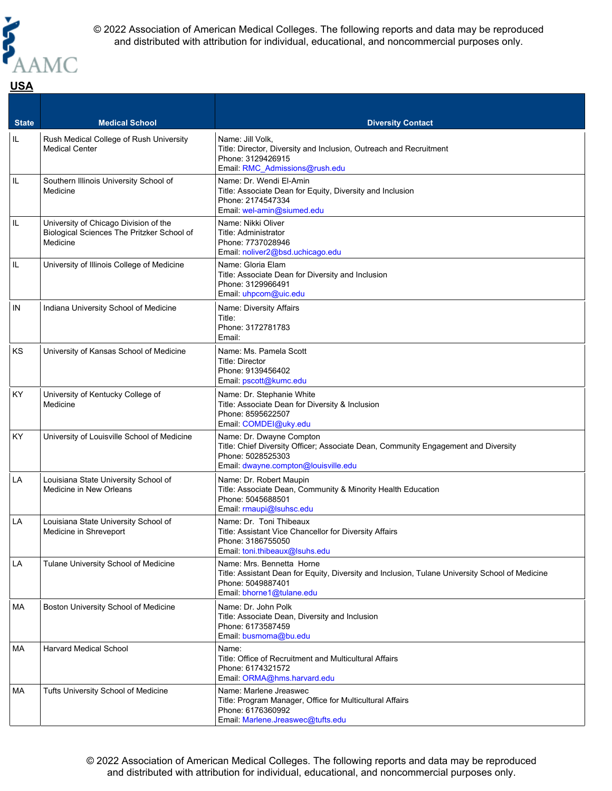

### **State Medical School <b>Medical School Diversity Contact** IL Rush Medical College of Rush University Medical Center Name: Jill Volk, Title: Director, Diversity and Inclusion, Outreach and Recruitment Phone: 3129426915 Email: [RMC\\_Admissions@rush.edu](mailto:RMC_Admissions@rush.edu) IL Southern Illinois University School of Medicine Name: Dr. Wendi El-Amin Title: Associate Dean for Equity, Diversity and Inclusion Phone: 2174547334 Email: [wel-amin@siumed.edu](mailto:wel-amin@siumed.edu) IL University of Chicago Division of the Biological Sciences The Pritzker School of Medicine Name: Nikki Oliver Title: Administrator Phone: 7737028946 Email: [noliver2@bsd.uchicago.edu](mailto:noliver2@bsd.uchicago.edu) IL | University of Illinois College of Medicine | Name: Gloria Elam Title: Associate Dean for Diversity and Inclusion Phone: 3129966491 Email: [uhpcom@uic.edu](mailto:uhpcom@uic.edu) IN | Indiana University School of Medicine | Name: Diversity Affairs Title: Phone: 3172781783 Email: KS | University of Kansas School of Medicine | Name: Ms. Pamela Scott Title: Director Phone: 9139456402 Email: [pscott@kumc.edu](mailto:pscott@kumc.edu) KY University of Kentucky College of Medicine Name: Dr. Stephanie White Title: Associate Dean for Diversity & Inclusion Phone: 8595622507 Email: [COMDEI@uky.edu](mailto:COMDEI@uky.edu)  $KY$  University of Louisville School of Medicine | Name: Dr. Dwayne Compton Title: Chief Diversity Officer; Associate Dean, Community Engagement and Diversity Phone: 5028525303 Email: [dwayne.compton@louisville.edu](mailto:dwayne.compton@louisville.edu) LA | Louisiana State University School of Medicine in New Orleans Name: Dr. Robert Maupin Title: Associate Dean, Community & Minority Health Education Phone: 5045688501 Email: [rmaupi@lsuhsc.edu](mailto:rmaupi@lsuhsc.edu) LA **Louisiana State University School of** Medicine in Shreveport Name: Dr. Toni Thibeaux Title: Assistant Vice Chancellor for Diversity Affairs Phone: 3186755050 Email: [toni.thibeaux@lsuhs.edu](mailto:toni.thibeaux@lsuhs.edu) LA Tulane University School of Medicine | Name: Mrs. Bennetta Horne Title: Assistant Dean for Equity, Diversity and Inclusion, Tulane University School of Medicine Phone: 5049887401 Email: [bhorne1@tulane.edu](mailto:bhorne1@tulane.edu) MA Boston University School of Medicine Name: Dr. John Polk Title: Associate Dean, Diversity and Inclusion Phone: 6173587459 Email: [busmoma@bu.edu](mailto:busmoma@bu.edu) MA Harvard Medical School Name: Title: Office of Recruitment and Multicultural Affairs Phone: 6174321572 Email: [ORMA@hms.harvard.edu](mailto:ORMA@hms.harvard.edu) MA Tufts University School of Medicine Name: Marlene Jreaswec Title: Program Manager, Office for Multicultural Affairs Phone: 6176360992

Email: [Marlene.Jreaswec@tufts.edu](mailto:Marlene.Jreaswec@tufts.edu)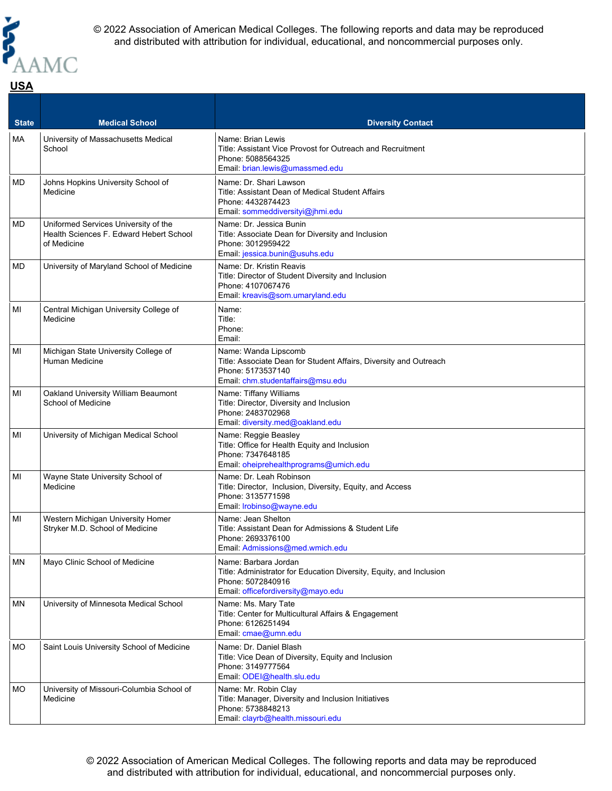

### **State Medical School <b>Medical School Diversity Contact** MA | University of Massachusetts Medical School Name: Brian Lewis Title: Assistant Vice Provost for Outreach and Recruitment Phone: 5088564325 Email: [brian.lewis@umassmed.edu](mailto:brian.lewis@umassmed.edu) MD Johns Hopkins University School of Medicine Name: Dr. Shari Lawson Title: Assistant Dean of Medical Student Affairs Phone: 4432874423 Email: [sommeddiversityi@jhmi.edu](mailto:sommeddiversityi@jhmi.edu) MD Uniformed Services University of the Health Sciences F. Edward Hebert School of Medicine Name: Dr. Jessica Bunin Title: Associate Dean for Diversity and Inclusion Phone: 3012959422 Email: [jessica.bunin@usuhs.edu](mailto:jessica.bunin@usuhs.edu) MD University of Maryland School of Medicine | Name: Dr. Kristin Reavis Title: Director of Student Diversity and Inclusion Phone: 4107067476 Email: [kreavis@som.umaryland.edu](mailto:kreavis@som.umaryland.edu) MI Central Michigan University College of Medicine Name: Title: Phone: Email: MI | Michigan State University College of Human Medicine Name: Wanda Lipscomb Title: Associate Dean for Student Affairs, Diversity and Outreach Phone: 5173537140 Email: [chm.studentaffairs@msu.edu](mailto:chm.studentaffairs@msu.edu) MI Oakland University William Beaumont School of Medicine Name: Tiffany Williams Title: Director, Diversity and Inclusion Phone: 2483702968 Email: [diversity.med@oakland.edu](mailto:diversity.med@oakland.edu) MI | University of Michigan Medical School | Name: Reggie Beasley Title: Office for Health Equity and Inclusion Phone: 7347648185 Email: [oheiprehealthprograms@umich.edu](mailto:oheiprehealthprograms@umich.edu) MI Wayne State University School of Medicine Name: Dr. Leah Robinson Title: Director, Inclusion, Diversity, Equity, and Access Phone: 3135771598 Email: [lrobinso@wayne.edu](mailto:lrobinso@wayne.edu) MI | Western Michigan University Homer Stryker M.D. School of Medicine Name: Jean Shelton Title: Assistant Dean for Admissions & Student Life Phone: 2693376100 Email: [Admissions@med.wmich.edu](mailto:Admissions@med.wmich.edu) MN Mayo Clinic School of Medicine Name: Barbara Jordan Title: Administrator for Education Diversity, Equity, and Inclusion Phone: 5072840916 Email: [officefordiversity@mayo.edu](mailto:officefordiversity@mayo.edu) MN | University of Minnesota Medical School | Name: Ms. Mary Tate Title: Center for Multicultural Affairs & Engagement Phone: 6126251494 Email: [cmae@umn.edu](mailto:cmae@umn.edu) MO Saint Louis University School of Medicine | Name: Dr. Daniel Blash Title: Vice Dean of Diversity, Equity and Inclusion Phone: 3149777564 Email: [ODEI@health.slu.edu](mailto:ODEI@health.slu.edu) MO | University of Missouri-Columbia School of Medicine Name: Mr. Robin Clay Title: Manager, Diversity and Inclusion Initiatives Phone: 5738848213 Email: [clayrb@health.missouri.edu](mailto:clayrb@health.missouri.edu)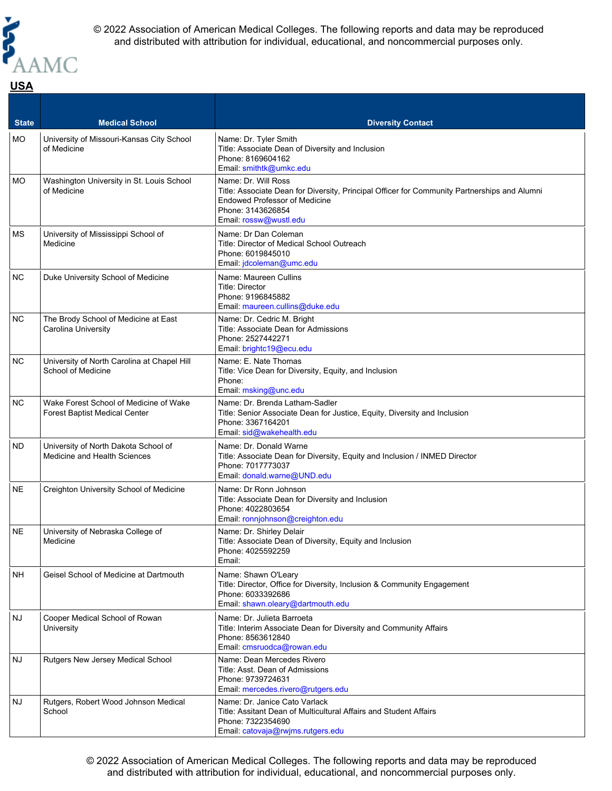

**USA**

© 2022 Association of American Medical Colleges. The following reports and data may be reproduced and distributed with attribution for individual, educational, and noncommercial purposes only.

#### **State Medical School <b>Medical School Diversity Contact** MO | University of Missouri-Kansas City School of Medicine Name: Dr. Tyler Smith Title: Associate Dean of Diversity and Inclusion Phone: 8169604162 Email: [smithtk@umkc.edu](mailto:smithtk@umkc.edu) MO | Washington University in St. Louis School of Medicine Name: Dr. Will Ross Title: Associate Dean for Diversity, Principal Officer for Community Partnerships and Alumni Endowed Professor of Medicine Phone: 3143626854 Email: [rossw@wustl.edu](mailto:rossw@wustl.edu) MS | University of Mississippi School of Medicine Name: Dr Dan Coleman Title: Director of Medical School Outreach Phone: 6019845010 Email: [jdcoleman@umc.edu](mailto:jdcoleman@umc.edu) NC Duke University School of Medicine Name: Maureen Cullins Title: Director Phone: 9196845882 Email: [maureen.cullins@duke.edu](mailto:maureen.cullins@duke.edu) NC | The Brody School of Medicine at East Carolina University Name: Dr. Cedric M. Bright Title: Associate Dean for Admissions Phone: 2527442271 Email: [brightc19@ecu.edu](mailto:brightc19@ecu.edu) NC | University of North Carolina at Chapel Hill School of Medicine Name: E. Nate Thomas Title: Vice Dean for Diversity, Equity, and Inclusion Phone: Email: [msking@unc.edu](mailto:msking@unc.edu) NC Wake Forest School of Medicine of Wake Forest Baptist Medical Center Name: Dr. Brenda Latham-Sadler Title: Senior Associate Dean for Justice, Equity, Diversity and Inclusion Phone: 3367164201 Email: [sid@wakehealth.edu](mailto:sid@wakehealth.edu) ND University of North Dakota School of Medicine and Health Sciences Name: Dr. Donald Warne Title: Associate Dean for Diversity, Equity and Inclusion / INMED Director Phone: 7017773037 Email: [donald.warne@UND.edu](mailto:donald.warne@UND.edu) NE Creighton University School of Medicine Name: Dr Ronn Johnson Title: Associate Dean for Diversity and Inclusion Phone: 4022803654 Email: [ronnjohnson@creighton.edu](mailto:ronnjohnson@creighton.edu) NE University of Nebraska College of Medicine Name: Dr. Shirley Delair Title: Associate Dean of Diversity, Equity and Inclusion Phone: 4025592259 Email: NH Geisel School of Medicine at Dartmouth Name: Shawn O'Leary Title: Director, Office for Diversity, Inclusion & Community Engagement Phone: 6033392686 Email: [shawn.oleary@dartmouth.edu](mailto:shawn.oleary@dartmouth.edu) NJ Cooper Medical School of Rowan **University** Name: Dr. Julieta Barroeta Title: Interim Associate Dean for Diversity and Community Affairs Phone: 8563612840 Email: [cmsruodca@rowan.edu](mailto:cmsruodca@rowan.edu) NJ Rutgers New Jersey Medical School Name: Dean Mercedes Rivero Title: Asst. Dean of Admissions Phone: 9739724631 Email: [mercedes.rivero@rutgers.edu](mailto:mercedes.rivero@rutgers.edu) NJ Rutgers, Robert Wood Johnson Medical **School** Name: Dr. Janice Cato Varlack Title: Assitant Dean of Multicultural Affairs and Student Affairs Phone: 7322354690 Email: [catovaja@rwjms.rutgers.edu](mailto:catovaja@rwjms.rutgers.edu)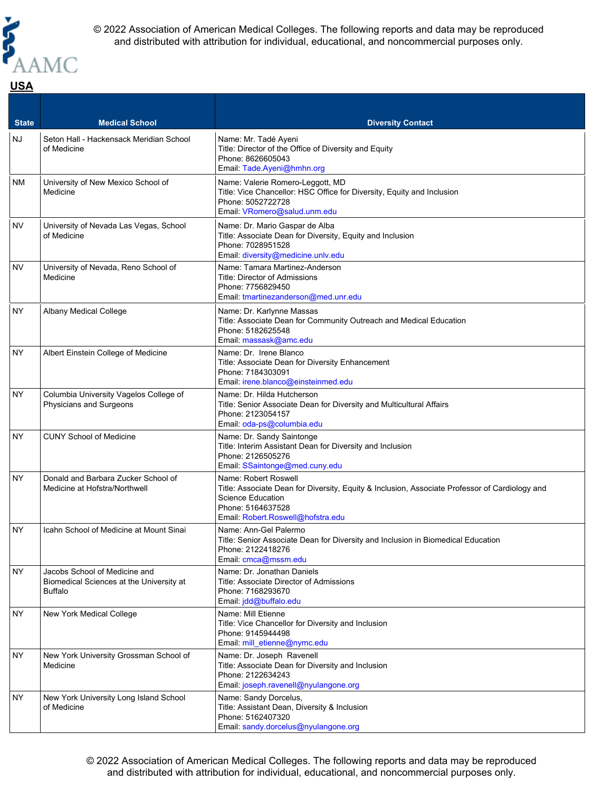

of Medicine

**USA**

© 2022 Association of American Medical Colleges. The following reports and data may be reproduced and distributed with attribution for individual, educational, and noncommercial purposes only.

#### **State Medical School <b>Medical School Diversity Contact** NJ Seton Hall - Hackensack Meridian School of Medicine Name: Mr. Tadé Ayeni Title: Director of the Office of Diversity and Equity Phone: 8626605043 Email: [Tade.Ayeni@hmhn.org](mailto:Tade.Ayeni@hmhn.org) NM University of New Mexico School of Medicine Name: Valerie Romero-Leggott, MD Title: Vice Chancellor: HSC Office for Diversity, Equity and Inclusion Phone: 5052722728 Email: [VRomero@salud.unm.edu](mailto:VRomero@salud.unm.edu) NV University of Nevada Las Vegas, School of Medicine Name: Dr. Mario Gaspar de Alba Title: Associate Dean for Diversity, Equity and Inclusion Phone: 7028951528 Email: [diversity@medicine.unlv.edu](mailto:diversity@medicine.unlv.edu) NV University of Nevada, Reno School of Medicine Name: Tamara Martinez-Anderson Title: Director of Admissions Phone: 7756829450 Email: [tmartinezanderson@med.unr.edu](mailto:tmartinezanderson@med.unr.edu) NY Albany Medical College Name: Dr. Karlynne Massas Title: Associate Dean for Community Outreach and Medical Education Phone: 5182625548 Email: [massask@amc.edu](mailto:massask@amc.edu) NY Albert Einstein College of Medicine Name: Dr. Irene Blanco Title: Associate Dean for Diversity Enhancement Phone: 7184303091 Email: [irene.blanco@einsteinmed.edu](mailto:irene.blanco@einsteinmed.edu) NY Columbia University Vagelos College of Physicians and Surgeons Name: Dr. Hilda Hutcherson Title: Senior Associate Dean for Diversity and Multicultural Affairs Phone: 2123054157 Email: [oda-ps@columbia.edu](mailto:oda-ps@columbia.edu) NY CUNY School of Medicine Name: Dr. Sandy Saintonge Title: Interim Assistant Dean for Diversity and Inclusion Phone: 2126505276 Email: [SSaintonge@med.cuny.edu](mailto:SSaintonge@med.cuny.edu) NY | Donald and Barbara Zucker School of Medicine at Hofstra/Northwell Name: Robert Roswell Title: Associate Dean for Diversity, Equity & Inclusion, Associate Professor of Cardiology and Science Education Phone: 5164637528 Email: [Robert.Roswell@hofstra.edu](mailto:Robert.Roswell@hofstra.edu) NY Icahn School of Medicine at Mount Sinai Name: Ann-Gel Palermo Title: Senior Associate Dean for Diversity and Inclusion in Biomedical Education Phone: 2122418276 Email: [cmca@mssm.edu](mailto:cmca@mssm.edu) NY Jacobs School of Medicine and Biomedical Sciences at the University at Buffalo Name: Dr. Jonathan Daniels Title: Associate Director of Admissions Phone: 7168293670 Email: [jdd@buffalo.edu](mailto:jdd@buffalo.edu) NY New York Medical College Name: Mill Etienne Title: Vice Chancellor for Diversity and Inclusion Phone: 9145944498 Email: [mill\\_etienne@nymc.edu](mailto:mill_etienne@nymc.edu) NY | New York University Grossman School of Medicine Name: Dr. Joseph Ravenell Title: Associate Dean for Diversity and Inclusion Phone: 2122634243 Email: [joseph.ravenell@nyulangone.org](mailto:joseph.ravenell@nyulangone.org) NY | New York University Long Island School Name: Sandy Dorcelus,

© 2022 Association of American Medical Colleges. The following reports and data may be reproduced and distributed with attribution for individual, educational, and noncommercial purposes only.

Title: Assistant Dean, Diversity & Inclusion

Email: [sandy.dorcelus@nyulangone.org](mailto:sandy.dorcelus@nyulangone.org)

Phone: 5162407320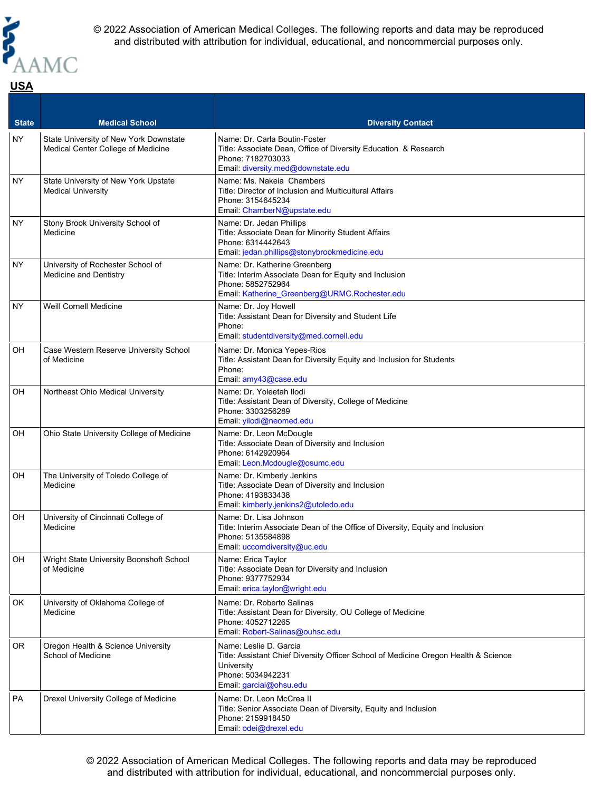

#### **State Medical School <b>Medical School Diversity Contact** NY State University of New York Downstate Medical Center College of Medicine Name: Dr. Carla Boutin-Foster Title: Associate Dean, Office of Diversity Education & Research Phone: 7182703033 Email: [diversity.med@downstate.edu](mailto:diversity.med@downstate.edu) NY State University of New York Upstate Medical University Name: Ms. Nakeia Chambers Title: Director of Inclusion and Multicultural Affairs Phone: 3154645234 Email: [ChamberN@upstate.edu](mailto:ChamberN@upstate.edu) NY Stony Brook University School of Medicine Name: Dr. Jedan Phillips Title: Associate Dean for Minority Student Affairs Phone: 6314442643 Email: [jedan.phillips@stonybrookmedicine.edu](mailto:jedan.phillips@stonybrookmedicine.edu) NY University of Rochester School of Medicine and Dentistry Name: Dr. Katherine Greenberg Title: Interim Associate Dean for Equity and Inclusion Phone: 5852752964 Email: [Katherine\\_Greenberg@URMC.Rochester.edu](mailto:Katherine_Greenberg@URMC.Rochester.edu) NY Veill Cornell Medicine Name: Dr. Joy Howell Title: Assistant Dean for Diversity and Student Life Phone: Email: [studentdiversity@med.cornell.edu](mailto:studentdiversity@med.cornell.edu) OH | Case Western Reserve University School of Medicine Name: Dr. Monica Yepes-Rios Title: Assistant Dean for Diversity Equity and Inclusion for Students Phone: Email: [amy43@case.edu](mailto:amy43@case.edu) OH Northeast Ohio Medical University Name: Dr. Yoleetah Ilodi Title: Assistant Dean of Diversity, College of Medicine Phone: 3303256289 Email: [yilodi@neomed.edu](mailto:yilodi@neomed.edu) OH Ohio State University College of Medicine Name: Dr. Leon McDougle Title: Associate Dean of Diversity and Inclusion Phone: 6142920964 Email: [Leon.Mcdougle@osumc.edu](mailto:Leon.Mcdougle@osumc.edu) OH | The University of Toledo College of Medicine Name: Dr. Kimberly Jenkins Title: Associate Dean of Diversity and Inclusion Phone: 4193833438 Email: [kimberly.jenkins2@utoledo.edu](mailto:kimberly.jenkins2@utoledo.edu) OH University of Cincinnati College of Medicine Name: Dr. Lisa Johnson Title: Interim Associate Dean of the Office of Diversity, Equity and Inclusion Phone: 5135584898 Email: [uccomdiversity@uc.edu](mailto:uccomdiversity@uc.edu) OH Wright State University Boonshoft School of Medicine Name: Erica Taylor Title: Associate Dean for Diversity and Inclusion Phone: 9377752934 Email: [erica.taylor@wright.edu](mailto:erica.taylor@wright.edu) OK University of Oklahoma College of Medicine Name: Dr. Roberto Salinas Title: Assistant Dean for Diversity, OU College of Medicine Phone: 4052712265 Email: [Robert-Salinas@ouhsc.edu](mailto:Robert-Salinas@ouhsc.edu) OR | Oregon Health & Science University School of Medicine Name: Leslie D. Garcia Title: Assistant Chief Diversity Officer School of Medicine Oregon Health & Science **University** Phone: 5034942231 Email: [garcial@ohsu.edu](mailto:garcial@ohsu.edu) PA Drexel University College of Medicine Name: Dr. Leon McCrea II Title: Senior Associate Dean of Diversity, Equity and Inclusion Phone: 2159918450 Email: [odei@drexel.edu](mailto:odei@drexel.edu)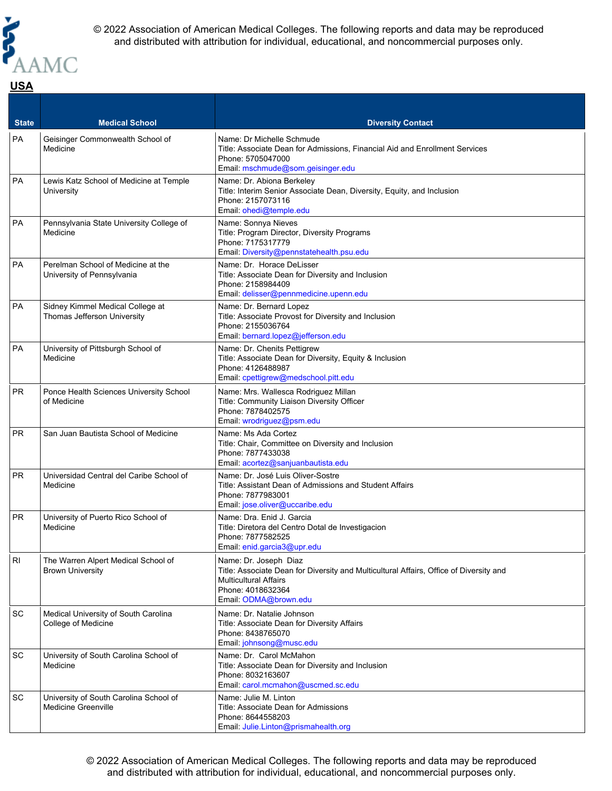

#### **State Medical School <b>Medical School Diversity Contact** PA Geisinger Commonwealth School of Medicine Name: Dr Michelle Schmude Title: Associate Dean for Admissions, Financial Aid and Enrollment Services Phone: 5705047000 Email: [mschmude@som.geisinger.edu](mailto:mschmude@som.geisinger.edu) PA | Lewis Katz School of Medicine at Temple University Name: Dr. Abiona Berkeley Title: Interim Senior Associate Dean, Diversity, Equity, and Inclusion Phone: 2157073116 Email: [ohedi@temple.edu](mailto:ohedi@temple.edu) PA Pennsylvania State University College of Medicine Name: Sonnya Nieves Title: Program Director, Diversity Programs Phone: 7175317779 Email: [Diversity@pennstatehealth.psu.edu](mailto:Diversity@pennstatehealth.psu.edu) PA Perelman School of Medicine at the University of Pennsylvania Name: Dr. Horace DeLisser Title: Associate Dean for Diversity and Inclusion Phone: 2158984409 Email: [delisser@pennmedicine.upenn.edu](mailto:delisser@pennmedicine.upenn.edu) PA Sidney Kimmel Medical College at Thomas Jefferson University Name: Dr. Bernard Lopez Title: Associate Provost for Diversity and Inclusion Phone: 2155036764 Email: [bernard.lopez@jefferson.edu](mailto:bernard.lopez@jefferson.edu) PA **University of Pittsburgh School of** Medicine Name: Dr. Chenits Pettigrew Title: Associate Dean for Diversity, Equity & Inclusion Phone: 4126488987 Email: [cpettigrew@medschool.pitt.edu](mailto:cpettigrew@medschool.pitt.edu) PR | Ponce Health Sciences University School of Medicine Name: Mrs. Wallesca Rodriguez Millan Title: Community Liaison Diversity Officer Phone: 7878402575 Email: [wrodriguez@psm.edu](mailto:wrodriguez@psm.edu)  $PR$  San Juan Bautista School of Medicine Name: Ms Ada Cortez Title: Chair, Committee on Diversity and Inclusion Phone: 7877433038 Email: [acortez@sanjuanbautista.edu](mailto:acortez@sanjuanbautista.edu) PR Universidad Central del Caribe School of Medicine Name: Dr. José Luis Oliver-Sostre Title: Assistant Dean of Admissions and Student Affairs Phone: 7877983001 Email: [jose.oliver@uccaribe.edu](mailto:jose.oliver@uccaribe.edu) PR **University of Puerto Rico School of** Medicine Name: Dra. Enid J. Garcia Title: Diretora del Centro Dotal de Investigacion Phone: 7877582525 Email: [enid.garcia3@upr.edu](mailto:enid.garcia3@upr.edu) RI The Warren Alpert Medical School of Brown University Name: Dr. Joseph Diaz Title: Associate Dean for Diversity and Multicultural Affairs, Office of Diversity and Multicultural Affairs Phone: 4018632364 Email: [ODMA@brown.edu](mailto:ODMA@brown.edu) SC | Medical University of South Carolina College of Medicine Name: Dr. Natalie Johnson Title: Associate Dean for Diversity Affairs Phone: 8438765070 Email: [johnsong@musc.edu](mailto:johnsong@musc.edu) SC University of South Carolina School of **Medicine** Name: Dr. Carol McMahon Title: Associate Dean for Diversity and Inclusion Phone: 8032163607 Email: [carol.mcmahon@uscmed.sc.edu](mailto:carol.mcmahon@uscmed.sc.edu) SC University of South Carolina School of Medicine Greenville Name: Julie M. Linton Title: Associate Dean for Admissions Phone: 8644558203 Email: [Julie.Linton@prismahealth.org](mailto:Julie.Linton@prismahealth.org)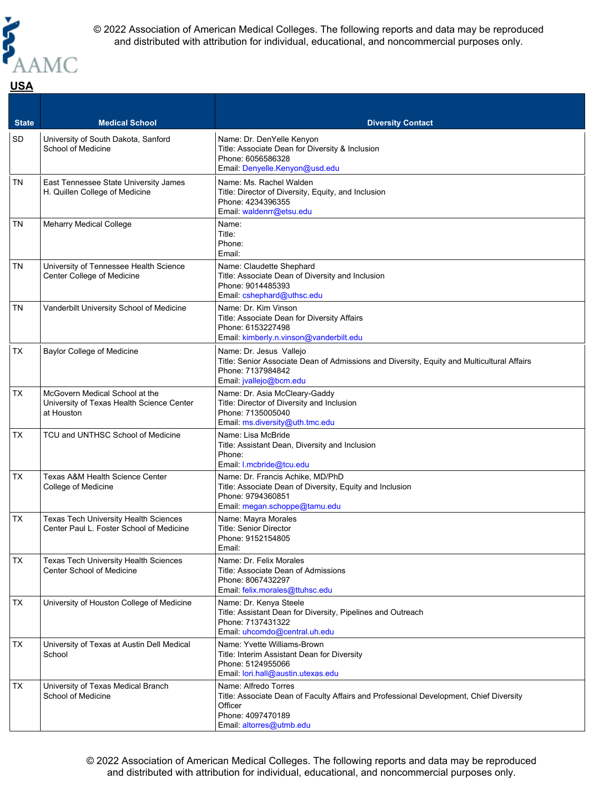

### **State Medical School <b>Medical School Diversity Contact** SD University of South Dakota, Sanford School of Medicine Name: Dr. DenYelle Kenyon Title: Associate Dean for Diversity & Inclusion Phone: 6056586328 Email: [Denyelle.Kenyon@usd.edu](mailto:Denyelle.Kenyon@usd.edu) TN East Tennessee State University James H. Quillen College of Medicine Name: Ms. Rachel Walden Title: Director of Diversity, Equity, and Inclusion Phone: 4234396355 Email: [waldenrr@etsu.edu](mailto:waldenrr@etsu.edu) TN Meharry Medical College Name: Title: Phone: Email: TN University of Tennessee Health Science Center College of Medicine Name: Claudette Shephard Title: Associate Dean of Diversity and Inclusion Phone: 9014485393 Email: [cshephard@uthsc.edu](mailto:cshephard@uthsc.edu) TN Vanderbilt University School of Medicine | Name: Dr. Kim Vinson Title: Associate Dean for Diversity Affairs Phone: 6153227498 Email: [kimberly.n.vinson@vanderbilt.edu](mailto:kimberly.n.vinson@vanderbilt.edu) TX Baylor College of Medicine Name: Dr. Jesus Vallejo Title: Senior Associate Dean of Admissions and Diversity, Equity and Multicultural Affairs Phone: 7137984842 Email: [jvallejo@bcm.edu](mailto:jvallejo@bcm.edu) TX McGovern Medical School at the University of Texas Health Science Center at Houston Name: Dr. Asia McCleary-Gaddy Title: Director of Diversity and Inclusion Phone: 7135005040 Email: [ms.diversity@uth.tmc.edu](mailto:ms.diversity@uth.tmc.edu) TX TCU and UNTHSC School of Medicine Name: Lisa McBride Title: Assistant Dean, Diversity and Inclusion Phone: Email: [l.mcbride@tcu.edu](mailto:l.mcbride@tcu.edu) TX | Texas A&M Health Science Center College of Medicine Name: Dr. Francis Achike, MD/PhD Title: Associate Dean of Diversity, Equity and Inclusion Phone: 9794360851 Email: [megan.schoppe@tamu.edu](mailto:megan.schoppe@tamu.edu) TX | Texas Tech University Health Sciences Center Paul L. Foster School of Medicine Name: Mayra Morales Title: Senior Director Phone: 9152154805 Email: TX Texas Tech University Health Sciences Center School of Medicine Name: Dr. Felix Morales Title: Associate Dean of Admissions

|           | Center School of Medicine                                | Title: Associate Dean of Admissions<br>Phone: 8067432297<br>Email: felix.morales@ttuhsc.edu                                                                                |
|-----------|----------------------------------------------------------|----------------------------------------------------------------------------------------------------------------------------------------------------------------------------|
| <b>TX</b> | University of Houston College of Medicine                | Name: Dr. Kenya Steele<br>Title: Assistant Dean for Diversity, Pipelines and Outreach<br>Phone: 7137431322<br>Email: uhcomdo@central.uh.edu                                |
| <b>TX</b> | University of Texas at Austin Dell Medical<br>School     | Name: Yvette Williams-Brown<br>Title: Interim Assistant Dean for Diversity<br>Phone: 5124955066<br>Email: lori.hall@austin.utexas.edu                                      |
| <b>TX</b> | University of Texas Medical Branch<br>School of Medicine | Name: Alfredo Torres<br>Title: Associate Dean of Faculty Affairs and Professional Development, Chief Diversity<br>Officer<br>Phone: 4097470189<br>Email: altorres@utmb.edu |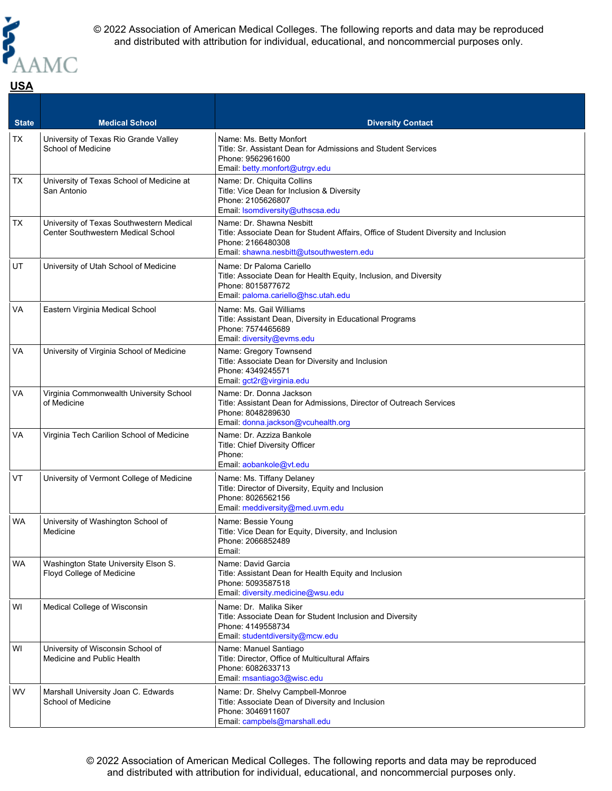

## **State Medical School Diversity Contact** TX University of Texas Rio Grande Valley School of Medicine Name: Ms. Betty Monfort Title: Sr. Assistant Dean for Admissions and Student Services Phone: 9562961600 Email: [betty.monfort@utrgv.edu](mailto:betty.monfort@utrgv.edu) TX University of Texas School of Medicine at San Antonio Name: Dr. Chiquita Collins Title: Vice Dean for Inclusion & Diversity Phone: 2105626807 Email: [lsomdiversity@uthscsa.edu](mailto:lsomdiversity@uthscsa.edu) TX University of Texas Southwestern Medical Center Southwestern Medical School Name: Dr. Shawna Nesbitt Title: Associate Dean for Student Affairs, Office of Student Diversity and Inclusion Phone: 2166480308 Email: [shawna.nesbitt@utsouthwestern.edu](mailto:shawna.nesbitt@utsouthwestern.edu)  $|$ UT  $|$  University of Utah School of Medicine  $|$  Name: Dr Paloma Cariello Title: Associate Dean for Health Equity, Inclusion, and Diversity Phone: 8015877672 Email: [paloma.cariello@hsc.utah.edu](mailto:paloma.cariello@hsc.utah.edu) VA Eastern Virginia Medical School Name: Ms. Gail Williams Title: Assistant Dean, Diversity in Educational Programs Phone: 7574465689 Email: [diversity@evms.edu](mailto:diversity@evms.edu) VA | University of Virginia School of Medicine | Name: Gregory Townsend

|           |                                                                   | Title: Associate Dean for Health Equity, Inclusion, and Diversity<br>Phone: 8015877672<br>Email: paloma.cariello@hsc.utah.edu                             |
|-----------|-------------------------------------------------------------------|-----------------------------------------------------------------------------------------------------------------------------------------------------------|
| VA        | Eastern Virginia Medical School                                   | Name: Ms. Gail Williams<br>Title: Assistant Dean, Diversity in Educational Programs<br>Phone: 7574465689<br>Email: diversity@evms.edu                     |
| VA        | University of Virginia School of Medicine                         | Name: Gregory Townsend<br>Title: Associate Dean for Diversity and Inclusion<br>Phone: 4349245571<br>Email: gct2r@virginia.edu                             |
| VA        | Virginia Commonwealth University School<br>of Medicine            | Name: Dr. Donna Jackson<br>Title: Assistant Dean for Admissions, Director of Outreach Services<br>Phone: 8048289630<br>Email: donna.jackson@vcuhealth.org |
| VA        | Virginia Tech Carilion School of Medicine                         | Name: Dr. Azziza Bankole<br>Title: Chief Diversity Officer<br>Phone:<br>Email: aobankole@vt.edu                                                           |
| VT        | University of Vermont College of Medicine                         | Name: Ms. Tiffany Delaney<br>Title: Director of Diversity, Equity and Inclusion<br>Phone: 8026562156<br>Email: meddiversity@med.uvm.edu                   |
| WA        | University of Washington School of<br>Medicine                    | Name: Bessie Young<br>Title: Vice Dean for Equity, Diversity, and Inclusion<br>Phone: 2066852489<br>Email:                                                |
| <b>WA</b> | Washington State University Elson S.<br>Floyd College of Medicine | Name: David Garcia<br>Title: Assistant Dean for Health Equity and Inclusion<br>Phone: 5093587518<br>Email: diversity.medicine@wsu.edu                     |
| WI        | Medical College of Wisconsin                                      | Name: Dr. Malika Siker<br>Title: Associate Dean for Student Inclusion and Diversity<br>Phone: 4149558734<br>Email: studentdiversity@mcw.edu               |
| WI        | University of Wisconsin School of<br>Medicine and Public Health   | Name: Manuel Santiago<br>Title: Director, Office of Multicultural Affairs<br>Phone: 6082633713<br>Email: msantiago3@wisc.edu                              |
| <b>WV</b> | Marshall University Joan C. Edwards<br>School of Medicine         | Name: Dr. Shelvy Campbell-Monroe<br>Title: Associate Dean of Diversity and Inclusion<br>Phone: 3046911607<br>Email: campbels@marshall.edu                 |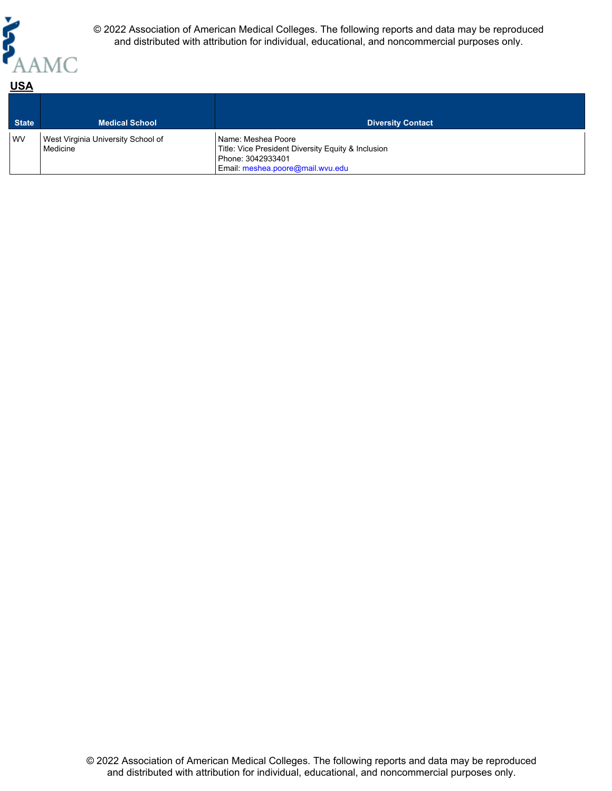

| <b>State</b> | <b>Medical School</b>                          | <b>Diversity Contact</b>                                                                                                          |
|--------------|------------------------------------------------|-----------------------------------------------------------------------------------------------------------------------------------|
| <b>WV</b>    | West Virginia University School of<br>Medicine | Name: Meshea Poore<br>Title: Vice President Diversity Equity & Inclusion<br>Phone: 3042933401<br>Email: meshea.poore@mail.wvu.edu |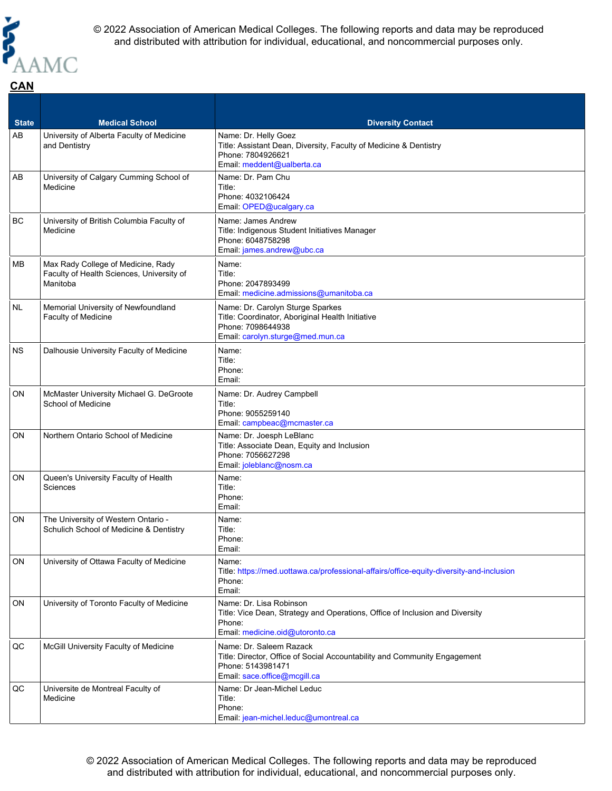

| <b>State</b> | <b>Medical School</b>                                                                       | <b>Diversity Contact</b>                                                                                                                                  |
|--------------|---------------------------------------------------------------------------------------------|-----------------------------------------------------------------------------------------------------------------------------------------------------------|
| AB           | University of Alberta Faculty of Medicine<br>and Dentistry                                  | Name: Dr. Helly Goez<br>Title: Assistant Dean, Diversity, Faculty of Medicine & Dentistry<br>Phone: 7804926621<br>Email: meddent@ualberta.ca              |
| AB           | University of Calgary Cumming School of<br>Medicine                                         | Name: Dr. Pam Chu<br>Title:<br>Phone: 4032106424<br>Email: OPED@ucalgary.ca                                                                               |
| BC           | University of British Columbia Faculty of<br>Medicine                                       | Name: James Andrew<br>Title: Indigenous Student Initiatives Manager<br>Phone: 6048758298<br>Email: james.andrew@ubc.ca                                    |
| MВ           | Max Rady College of Medicine, Rady<br>Faculty of Health Sciences, University of<br>Manitoba | Name:<br>Title:<br>Phone: 2047893499<br>Email: medicine.admissions@umanitoba.ca                                                                           |
| NL           | Memorial University of Newfoundland<br>Faculty of Medicine                                  | Name: Dr. Carolyn Sturge Sparkes<br>Title: Coordinator, Aboriginal Health Initiative<br>Phone: 7098644938<br>Email: carolyn.sturge@med.mun.ca             |
| <b>NS</b>    | Dalhousie University Faculty of Medicine                                                    | Name:<br>Title:<br>Phone:<br>Email:                                                                                                                       |
| <b>ON</b>    | McMaster University Michael G. DeGroote<br>School of Medicine                               | Name: Dr. Audrey Campbell<br>Title:<br>Phone: 9055259140<br>Email: campbeac@mcmaster.ca                                                                   |
| <b>ON</b>    | Northern Ontario School of Medicine                                                         | Name: Dr. Joesph LeBlanc<br>Title: Associate Dean, Equity and Inclusion<br>Phone: 7056627298<br>Email: joleblanc@nosm.ca                                  |
| ON           | Queen's University Faculty of Health<br>Sciences                                            | Name:<br>Title:<br>Phone:<br>Email:                                                                                                                       |
| <b>ON</b>    | The University of Western Ontario -<br>Schulich School of Medicine & Dentistry              | Name:<br>Title:<br>Phone:<br>Email:                                                                                                                       |
| ON           | University of Ottawa Faculty of Medicine                                                    | Name:<br>Title: https://med.uottawa.ca/professional-affairs/office-equity-diversity-and-inclusion<br>Phone:<br>Email:                                     |
| ON           | University of Toronto Faculty of Medicine                                                   | Name: Dr. Lisa Robinson<br>Title: Vice Dean, Strategy and Operations, Office of Inclusion and Diversity<br>Phone:<br>Email: medicine.oid@utoronto.ca      |
| QC           | McGill University Faculty of Medicine                                                       | Name: Dr. Saleem Razack<br>Title: Director, Office of Social Accountability and Community Engagement<br>Phone: 5143981471<br>Email: sace.office@mcgill.ca |
| QC           | Universite de Montreal Faculty of<br>Medicine                                               | Name: Dr Jean-Michel Leduc<br>Title:<br>Phone:<br>Email: jean-michel.leduc@umontreal.ca                                                                   |